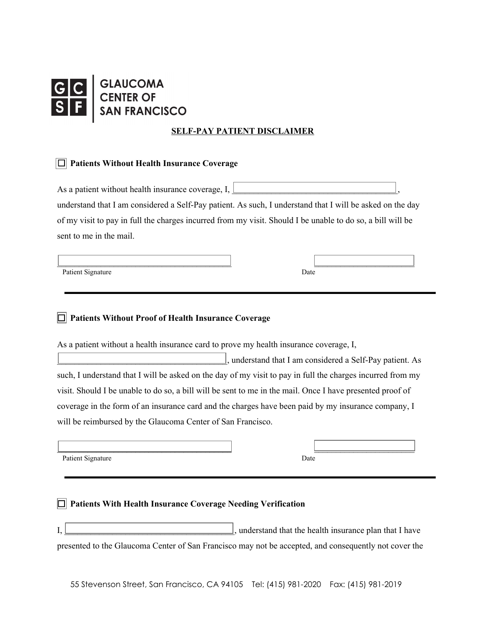## **GLAUCOMA<br>CENTER OF<br>SAN FRANCISCO**

## **SELF-PAY PATIENT DISCLAIMER**

## ☐ **Patients Without Health Insurance Coverage**

As a patient without health insurance coverage, I,

understand that I am considered a Self-Pay patient. As such, I understand that I will be asked on the day of my visit to pay in full the charges incurred from my visit. Should I be unable to do so, a bill will be sent to me in the mail.

 $\overline{\phantom{a}}$  , and the contract of the contract of the contract of the contract of the contract of the contract of the contract of the contract of the contract of the contract of the contract of the contract of the contrac

Patient Signature Date

☐ **Patients Without Proof of Health Insurance Coverage**

As a patient without a health insurance card to prove my health insurance coverage, I,

\_\_\_\_\_\_\_\_\_\_\_\_\_\_\_\_\_\_\_\_\_\_\_\_\_\_\_\_\_\_\_\_\_\_\_\_\_\_\_, understand that I am considered a Self-Pay patient. As such, I understand that I will be asked on the day of my visit to pay in full the charges incurred from my visit. Should I be unable to do so, a bill will be sent to me in the mail. Once I have presented proof of coverage in the form of an insurance card and the charges have been paid by my insurance company, I will be reimbursed by the Glaucoma Center of San Francisco.

 $\overline{\phantom{a}}$  , and the contract of the contract of the contract of the contract of the contract of the contract of the contract of the contract of the contract of the contract of the contract of the contract of the contrac

Patient Signature Date

## ☐ **Patients With Health Insurance Coverage Needing Verification**

 $I_{\rm s}$  and  $I_{\rm s}$  and  $I_{\rm s}$  and  $I_{\rm s}$  and  $I_{\rm s}$  and that the health insurance plan that I have presented to the Glaucoma Center of San Francisco may not be accepted, and consequently not cover the